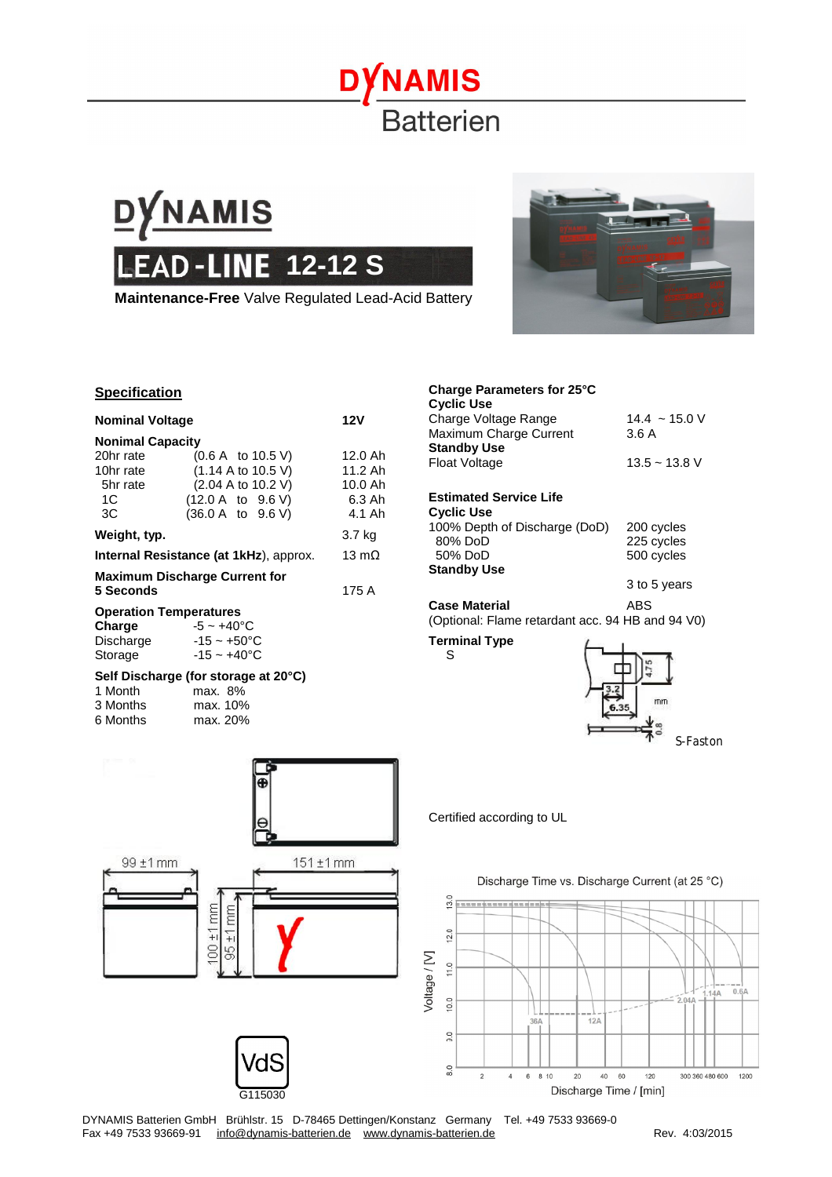## DYNAMIS **Batterien**



## **Specification**

| <b>Nominal Voltage</b>                         | <b>12V</b>                                                                                                                 |                                                     |
|------------------------------------------------|----------------------------------------------------------------------------------------------------------------------------|-----------------------------------------------------|
| <b>Nonimal Capacity</b>                        |                                                                                                                            |                                                     |
| 20hr rate<br>10hr rate<br>5hr rate<br>1C<br>3C | (0.6 A to 10.5 V)<br>$(1.14 \text{ A to } 10.5 \text{ V})$<br>(2.04 A to 10.2 V)<br>(12.0 A to 9.6 V)<br>(36.0 A to 9.6 V) | 12.0 Ah<br>11.2 Ah<br>$10.0$ Ah<br>6.3 Ah<br>4.1 Ah |
| Weight, typ.                                   |                                                                                                                            | 3.7 kg                                              |
| Internal Resistance (at 1kHz), approx.         | 13 $m\Omega$                                                                                                               |                                                     |
| 5 Seconds                                      | <b>Maximum Discharge Current for</b>                                                                                       | 175 A                                               |
| <b>Operation Temperatures</b>                  |                                                                                                                            |                                                     |
| <b>Charge</b><br>Storage                       | $-5 \sim +40^{\circ}$ C<br>Discharge $-15 \sim +50^{\circ}$ C<br>$-15 - +40$ °C                                            |                                                     |
| 1 Month                                        | Self Discharge (for storage at 20°C)<br>max. 8%                                                                            |                                                     |

| 'i iviontn |          | max. 8%  |  |
|------------|----------|----------|--|
|            | 3 Months | max. 10% |  |
|            | 6 Months | max. 20% |  |



G115030

### **Charge Parameters for 25°C Cyclic Use**

| <b>Estimated Service Life</b>                |                    |
|----------------------------------------------|--------------------|
| <b>Float Voltage</b>                         | $13.5 - 13.8$ V    |
| Maximum Charge Current<br><b>Standby Use</b> | 3.6A               |
| 77917777<br>Charge Voltage Range             | $14.4 \sim 15.0$ V |

## **Cyclic Use**  100% Depth of Discharge (DoD) 200 cycles<br>80% DoD 225 cycles 225 cycles

| 50% DoD            | 500 cycles   |
|--------------------|--------------|
| <b>Standby Use</b> |              |
|                    | 3 to 5 years |

**Case Material** ABS (Optional: Flame retardant acc. 94 HB and 94 V0)

## **Terminal Type** S



Certified according to UL